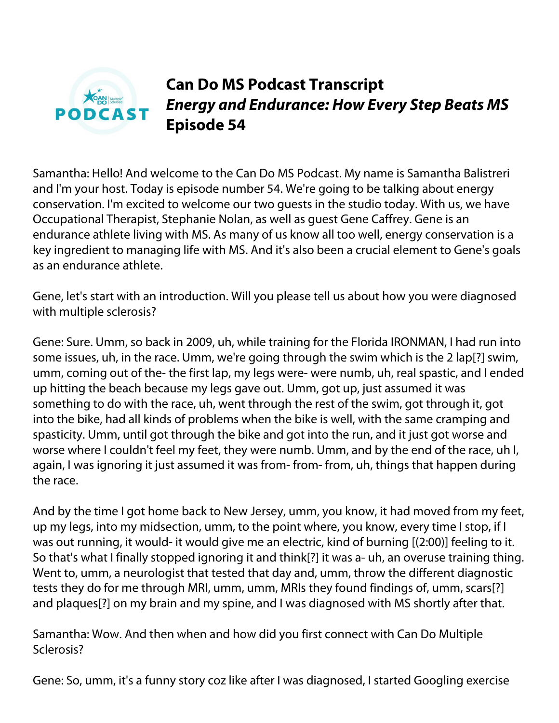

# **Can Do MS Podcast Transcript** *Energy and Endurance: How Every Step Beats MS* **Episode 54**

Samantha: Hello! And welcome to the Can Do MS Podcast. My name is Samantha Balistreri and I'm your host. Today is episode number 54. We're going to be talking about energy conservation. I'm excited to welcome our two guests in the studio today. With us, we have Occupational Therapist, Stephanie Nolan, as well as guest Gene Caffrey. Gene is an endurance athlete living with MS. As many of us know all too well, energy conservation is a key ingredient to managing life with MS. And it's also been a crucial element to Gene's goals as an endurance athlete.

Gene, let's start with an introduction. Will you please tell us about how you were diagnosed with multiple sclerosis?

Gene: Sure. Umm, so back in 2009, uh, while training for the Florida IRONMAN, I had run into some issues, uh, in the race. Umm, we're going through the swim which is the 2 lap[?] swim, umm, coming out of the- the first lap, my legs were- were numb, uh, real spastic, and I ended up hitting the beach because my legs gave out. Umm, got up, just assumed it was something to do with the race, uh, went through the rest of the swim, got through it, got into the bike, had all kinds of problems when the bike is well, with the same cramping and spasticity. Umm, until got through the bike and got into the run, and it just got worse and worse where I couldn't feel my feet, they were numb. Umm, and by the end of the race, uh I, again, I was ignoring it just assumed it was from- from- from, uh, things that happen during the race.

And by the time I got home back to New Jersey, umm, you know, it had moved from my feet, up my legs, into my midsection, umm, to the point where, you know, every time I stop, if I was out running, it would- it would give me an electric, kind of burning [(2:00)] feeling to it. So that's what I finally stopped ignoring it and think[?] it was a- uh, an overuse training thing. Went to, umm, a neurologist that tested that day and, umm, throw the different diagnostic tests they do for me through MRI, umm, umm, MRIs they found findings of, umm, scars[?] and plaques[?] on my brain and my spine, and I was diagnosed with MS shortly after that.

Samantha: Wow. And then when and how did you first connect with Can Do Multiple Sclerosis?

Gene: So, umm, it's a funny story coz like after I was diagnosed, I started Googling exercise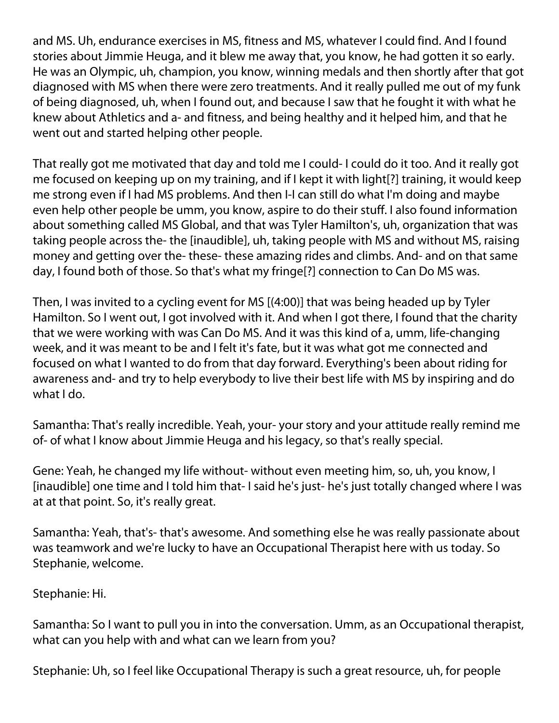and MS. Uh, endurance exercises in MS, fitness and MS, whatever I could find. And I found stories about Jimmie Heuga, and it blew me away that, you know, he had gotten it so early. He was an Olympic, uh, champion, you know, winning medals and then shortly after that got diagnosed with MS when there were zero treatments. And it really pulled me out of my funk of being diagnosed, uh, when I found out, and because I saw that he fought it with what he knew about Athletics and a- and fitness, and being healthy and it helped him, and that he went out and started helping other people.

That really got me motivated that day and told me I could- I could do it too. And it really got me focused on keeping up on my training, and if I kept it with light[?] training, it would keep me strong even if I had MS problems. And then I-I can still do what I'm doing and maybe even help other people be umm, you know, aspire to do their stuff. I also found information about something called MS Global, and that was Tyler Hamilton's, uh, organization that was taking people across the- the [inaudible], uh, taking people with MS and without MS, raising money and getting over the- these- these amazing rides and climbs. And- and on that same day, I found both of those. So that's what my fringe[?] connection to Can Do MS was.

Then, I was invited to a cycling event for MS [(4:00)] that was being headed up by Tyler Hamilton. So I went out, I got involved with it. And when I got there, I found that the charity that we were working with was Can Do MS. And it was this kind of a, umm, life-changing week, and it was meant to be and I felt it's fate, but it was what got me connected and focused on what I wanted to do from that day forward. Everything's been about riding for awareness and- and try to help everybody to live their best life with MS by inspiring and do what I do.

Samantha: That's really incredible. Yeah, your- your story and your attitude really remind me of- of what I know about Jimmie Heuga and his legacy, so that's really special.

Gene: Yeah, he changed my life without- without even meeting him, so, uh, you know, I [inaudible] one time and I told him that- I said he's just- he's just totally changed where I was at at that point. So, it's really great.

Samantha: Yeah, that's- that's awesome. And something else he was really passionate about was teamwork and we're lucky to have an Occupational Therapist here with us today. So Stephanie, welcome.

Stephanie: Hi.

Samantha: So I want to pull you in into the conversation. Umm, as an Occupational therapist, what can you help with and what can we learn from you?

Stephanie: Uh, so I feel like Occupational Therapy is such a great resource, uh, for people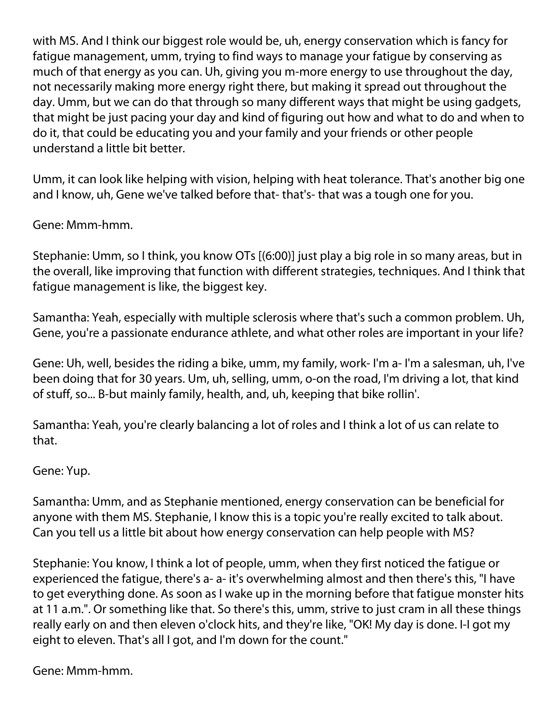with MS. And I think our biggest role would be, uh, energy conservation which is fancy for fatigue management, umm, trying to find ways to manage your fatigue by conserving as much of that energy as you can. Uh, giving you m-more energy to use throughout the day, not necessarily making more energy right there, but making it spread out throughout the day. Umm, but we can do that through so many different ways that might be using gadgets, that might be just pacing your day and kind of figuring out how and what to do and when to do it, that could be educating you and your family and your friends or other people understand a little bit better.

Umm, it can look like helping with vision, helping with heat tolerance. That's another big one and I know, uh, Gene we've talked before that- that's- that was a tough one for you.

### Gene: Mmm-hmm.

Stephanie: Umm, so I think, you know OTs [(6:00)] just play a big role in so many areas, but in the overall, like improving that function with different strategies, techniques. And I think that fatigue management is like, the biggest key.

Samantha: Yeah, especially with multiple sclerosis where that's such a common problem. Uh, Gene, you're a passionate endurance athlete, and what other roles are important in your life?

Gene: Uh, well, besides the riding a bike, umm, my family, work- I'm a- I'm a salesman, uh, I've been doing that for 30 years. Um, uh, selling, umm, o-on the road, I'm driving a lot, that kind of stuff, so... B-but mainly family, health, and, uh, keeping that bike rollin'.

Samantha: Yeah, you're clearly balancing a lot of roles and I think a lot of us can relate to that.

#### Gene: Yup.

Samantha: Umm, and as Stephanie mentioned, energy conservation can be beneficial for anyone with them MS. Stephanie, I know this is a topic you're really excited to talk about. Can you tell us a little bit about how energy conservation can help people with MS?

Stephanie: You know, I think a lot of people, umm, when they first noticed the fatigue or experienced the fatigue, there's a- a- it's overwhelming almost and then there's this, "I have to get everything done. As soon as I wake up in the morning before that fatigue monster hits at 11 a.m.". Or something like that. So there's this, umm, strive to just cram in all these things really early on and then eleven o'clock hits, and they're like, "OK! My day is done. I-I got my eight to eleven. That's all I got, and I'm down for the count."

Gene: Mmm-hmm.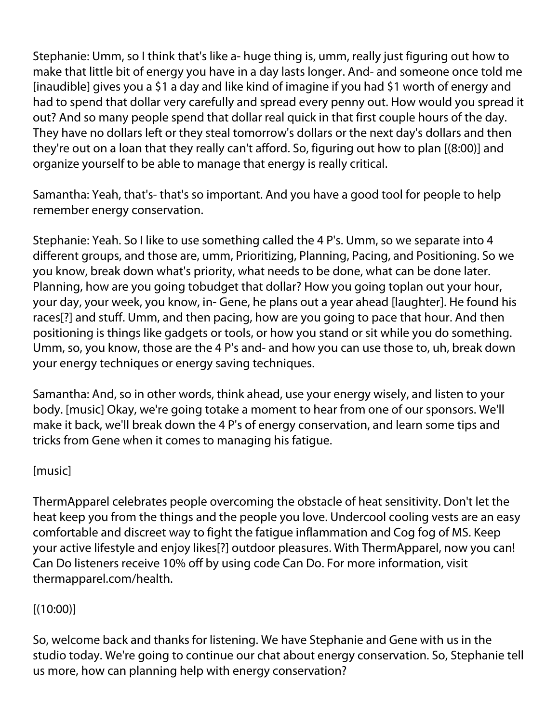Stephanie: Umm, so I think that's like a- huge thing is, umm, really just figuring out how to make that little bit of energy you have in a day lasts longer. And- and someone once told me [inaudible] gives you a \$1 a day and like kind of imagine if you had \$1 worth of energy and had to spend that dollar very carefully and spread every penny out. How would you spread it out? And so many people spend that dollar real quick in that first couple hours of the day. They have no dollars left or they steal tomorrow's dollars or the next day's dollars and then they're out on a loan that they really can't afford. So, figuring out how to plan [(8:00)] and organize yourself to be able to manage that energy is really critical.

Samantha: Yeah, that's- that's so important. And you have a good tool for people to help remember energy conservation.

Stephanie: Yeah. So I like to use something called the 4 P's. Umm, so we separate into 4 different groups, and those are, umm, Prioritizing, Planning, Pacing, and Positioning. So we you know, break down what's priority, what needs to be done, what can be done later. Planning, how are you going tobudget that dollar? How you going toplan out your hour, your day, your week, you know, in- Gene, he plans out a year ahead [laughter]. He found his races[?] and stuff. Umm, and then pacing, how are you going to pace that hour. And then positioning is things like gadgets or tools, or how you stand or sit while you do something. Umm, so, you know, those are the 4 P's and- and how you can use those to, uh, break down your energy techniques or energy saving techniques.

Samantha: And, so in other words, think ahead, use your energy wisely, and listen to your body. [music] Okay, we're going totake a moment to hear from one of our sponsors. We'll make it back, we'll break down the 4 P's of energy conservation, and learn some tips and tricks from Gene when it comes to managing his fatigue.

## [music]

ThermApparel celebrates people overcoming the obstacle of heat sensitivity. Don't let the heat keep you from the things and the people you love. Undercool cooling vests are an easy comfortable and discreet way to fight the fatigue inflammation and Cog fog of MS. Keep your active lifestyle and enjoy likes[?] outdoor pleasures. With ThermApparel, now you can! Can Do listeners receive 10% off by using code Can Do. For more information, visit thermapparel.com/health.

## $[(10:00)]$

So, welcome back and thanks for listening. We have Stephanie and Gene with us in the studio today. We're going to continue our chat about energy conservation. So, Stephanie tell us more, how can planning help with energy conservation?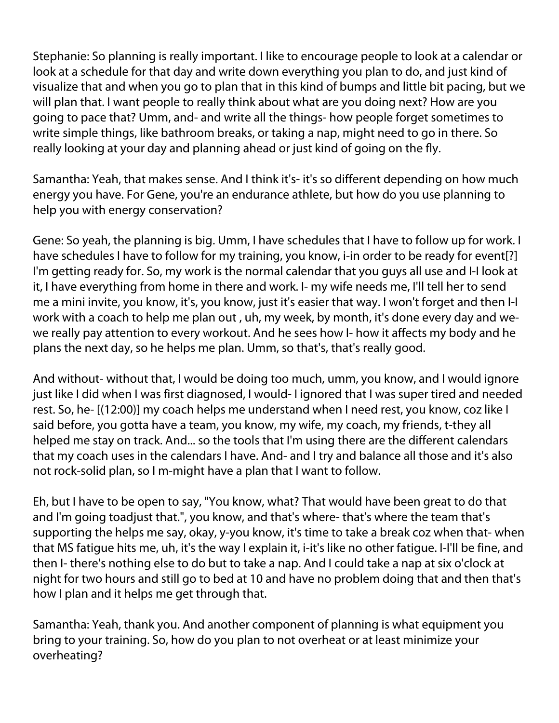Stephanie: So planning is really important. I like to encourage people to look at a calendar or look at a schedule for that day and write down everything you plan to do, and just kind of visualize that and when you go to plan that in this kind of bumps and little bit pacing, but we will plan that. I want people to really think about what are you doing next? How are you going to pace that? Umm, and- and write all the things- how people forget sometimes to write simple things, like bathroom breaks, or taking a nap, might need to go in there. So really looking at your day and planning ahead or just kind of going on the fly.

Samantha: Yeah, that makes sense. And I think it's- it's so different depending on how much energy you have. For Gene, you're an endurance athlete, but how do you use planning to help you with energy conservation?

Gene: So yeah, the planning is big. Umm, I have schedules that I have to follow up for work. I have schedules I have to follow for my training, you know, i-in order to be ready for event[?] I'm getting ready for. So, my work is the normal calendar that you guys all use and I-I look at it, I have everything from home in there and work. I- my wife needs me, I'll tell her to send me a mini invite, you know, it's, you know, just it's easier that way. I won't forget and then I-I work with a coach to help me plan out , uh, my week, by month, it's done every day and wewe really pay attention to every workout. And he sees how I- how it affects my body and he plans the next day, so he helps me plan. Umm, so that's, that's really good.

And without- without that, I would be doing too much, umm, you know, and I would ignore just like I did when I was first diagnosed, I would- I ignored that I was super tired and needed rest. So, he- [(12:00)] my coach helps me understand when I need rest, you know, coz like I said before, you gotta have a team, you know, my wife, my coach, my friends, t-they all helped me stay on track. And... so the tools that I'm using there are the different calendars that my coach uses in the calendars I have. And- and I try and balance all those and it's also not rock-solid plan, so I m-might have a plan that I want to follow.

Eh, but I have to be open to say, "You know, what? That would have been great to do that and I'm going toadjust that.", you know, and that's where- that's where the team that's supporting the helps me say, okay, y-you know, it's time to take a break coz when that- when that MS fatigue hits me, uh, it's the way I explain it, i-it's like no other fatigue. I-I'll be fine, and then I- there's nothing else to do but to take a nap. And I could take a nap at six o'clock at night for two hours and still go to bed at 10 and have no problem doing that and then that's how I plan and it helps me get through that.

Samantha: Yeah, thank you. And another component of planning is what equipment you bring to your training. So, how do you plan to not overheat or at least minimize your overheating?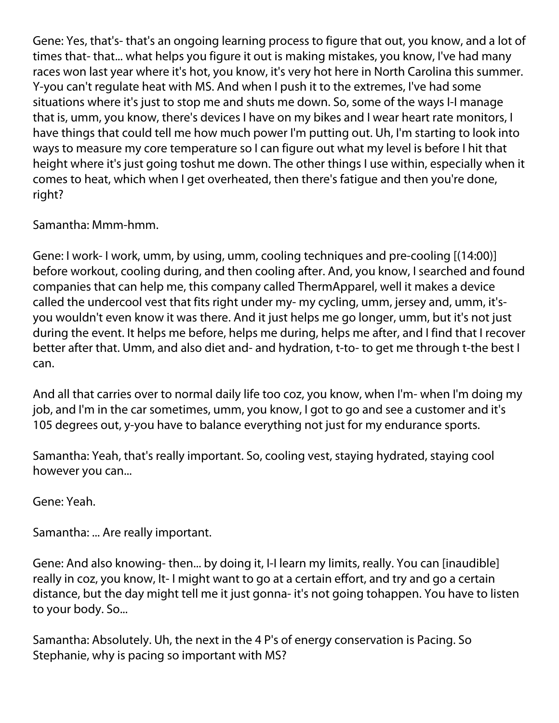Gene: Yes, that's- that's an ongoing learning process to figure that out, you know, and a lot of times that- that... what helps you figure it out is making mistakes, you know, I've had many races won last year where it's hot, you know, it's very hot here in North Carolina this summer. Y-you can't regulate heat with MS. And when I push it to the extremes, I've had some situations where it's just to stop me and shuts me down. So, some of the ways I-I manage that is, umm, you know, there's devices I have on my bikes and I wear heart rate monitors, I have things that could tell me how much power I'm putting out. Uh, I'm starting to look into ways to measure my core temperature so I can figure out what my level is before I hit that height where it's just going toshut me down. The other things I use within, especially when it comes to heat, which when I get overheated, then there's fatigue and then you're done, right?

Samantha: Mmm-hmm.

Gene: I work- I work, umm, by using, umm, cooling techniques and pre-cooling [(14:00)] before workout, cooling during, and then cooling after. And, you know, I searched and found companies that can help me, this company called ThermApparel, well it makes a device called the undercool vest that fits right under my- my cycling, umm, jersey and, umm, it'syou wouldn't even know it was there. And it just helps me go longer, umm, but it's not just during the event. It helps me before, helps me during, helps me after, and I find that I recover better after that. Umm, and also diet and- and hydration, t-to- to get me through t-the best I can.

And all that carries over to normal daily life too coz, you know, when I'm- when I'm doing my job, and I'm in the car sometimes, umm, you know, I got to go and see a customer and it's 105 degrees out, y-you have to balance everything not just for my endurance sports.

Samantha: Yeah, that's really important. So, cooling vest, staying hydrated, staying cool however you can...

Gene: Yeah.

Samantha: ... Are really important.

Gene: And also knowing- then... by doing it, I-I learn my limits, really. You can [inaudible] really in coz, you know, It- I might want to go at a certain effort, and try and go a certain distance, but the day might tell me it just gonna- it's not going tohappen. You have to listen to your body. So...

Samantha: Absolutely. Uh, the next in the 4 P's of energy conservation is Pacing. So Stephanie, why is pacing so important with MS?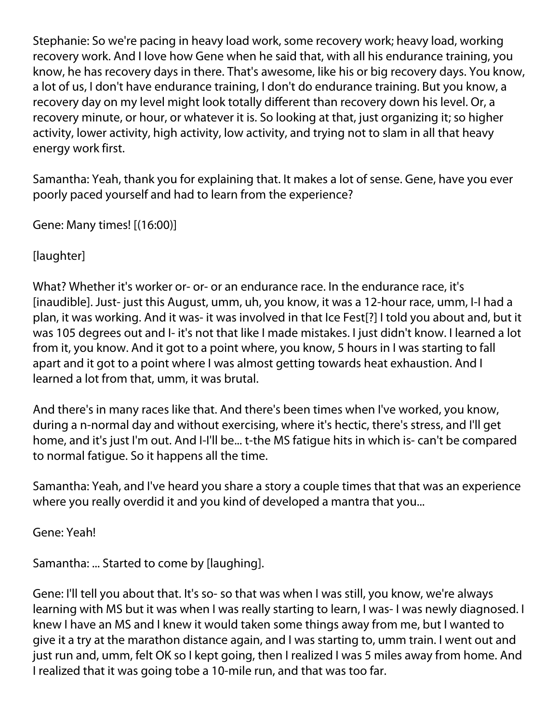Stephanie: So we're pacing in heavy load work, some recovery work; heavy load, working recovery work. And I love how Gene when he said that, with all his endurance training, you know, he has recovery days in there. That's awesome, like his or big recovery days. You know, a lot of us, I don't have endurance training, I don't do endurance training. But you know, a recovery day on my level might look totally different than recovery down his level. Or, a recovery minute, or hour, or whatever it is. So looking at that, just organizing it; so higher activity, lower activity, high activity, low activity, and trying not to slam in all that heavy energy work first.

Samantha: Yeah, thank you for explaining that. It makes a lot of sense. Gene, have you ever poorly paced yourself and had to learn from the experience?

Gene: Many times! [(16:00)]

[laughter]

What? Whether it's worker or- or- or an endurance race. In the endurance race, it's [inaudible]. Just- just this August, umm, uh, you know, it was a 12-hour race, umm, I-I had a plan, it was working. And it was- it was involved in that Ice Fest[?] I told you about and, but it was 105 degrees out and I- it's not that like I made mistakes. I just didn't know. I learned a lot from it, you know. And it got to a point where, you know, 5 hours in I was starting to fall apart and it got to a point where I was almost getting towards heat exhaustion. And I learned a lot from that, umm, it was brutal.

And there's in many races like that. And there's been times when I've worked, you know, during a n-normal day and without exercising, where it's hectic, there's stress, and I'll get home, and it's just I'm out. And I-I'll be... t-the MS fatigue hits in which is- can't be compared to normal fatigue. So it happens all the time.

Samantha: Yeah, and I've heard you share a story a couple times that that was an experience where you really overdid it and you kind of developed a mantra that you...

Gene: Yeah!

Samantha: ... Started to come by [laughing].

Gene: I'll tell you about that. It's so- so that was when I was still, you know, we're always learning with MS but it was when I was really starting to learn, I was- I was newly diagnosed. I knew I have an MS and I knew it would taken some things away from me, but I wanted to give it a try at the marathon distance again, and I was starting to, umm train. I went out and just run and, umm, felt OK so I kept going, then I realized I was 5 miles away from home. And I realized that it was going tobe a 10-mile run, and that was too far.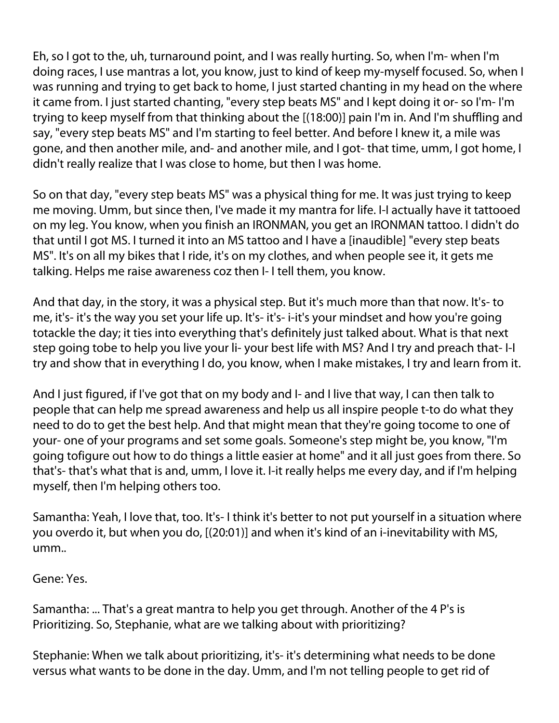Eh, so I got to the, uh, turnaround point, and I was really hurting. So, when I'm- when I'm doing races, I use mantras a lot, you know, just to kind of keep my-myself focused. So, when I was running and trying to get back to home, I just started chanting in my head on the where it came from. I just started chanting, "every step beats MS" and I kept doing it or- so I'm- I'm trying to keep myself from that thinking about the [(18:00)] pain I'm in. And I'm shuffling and say, "every step beats MS" and I'm starting to feel better. And before I knew it, a mile was gone, and then another mile, and- and another mile, and I got- that time, umm, I got home, I didn't really realize that I was close to home, but then I was home.

So on that day, "every step beats MS" was a physical thing for me. It was just trying to keep me moving. Umm, but since then, I've made it my mantra for life. I-I actually have it tattooed on my leg. You know, when you finish an IRONMAN, you get an IRONMAN tattoo. I didn't do that until I got MS. I turned it into an MS tattoo and I have a [inaudible] "every step beats MS". It's on all my bikes that I ride, it's on my clothes, and when people see it, it gets me talking. Helps me raise awareness coz then I- I tell them, you know.

And that day, in the story, it was a physical step. But it's much more than that now. It's- to me, it's- it's the way you set your life up. It's- it's- i-it's your mindset and how you're going totackle the day; it ties into everything that's definitely just talked about. What is that next step going tobe to help you live your li- your best life with MS? And I try and preach that- I-I try and show that in everything I do, you know, when I make mistakes, I try and learn from it.

And I just figured, if I've got that on my body and I- and I live that way, I can then talk to people that can help me spread awareness and help us all inspire people t-to do what they need to do to get the best help. And that might mean that they're going tocome to one of your- one of your programs and set some goals. Someone's step might be, you know, "I'm going tofigure out how to do things a little easier at home" and it all just goes from there. So that's- that's what that is and, umm, I love it. I-it really helps me every day, and if I'm helping myself, then I'm helping others too.

Samantha: Yeah, I love that, too. It's- I think it's better to not put yourself in a situation where you overdo it, but when you do, [(20:01)] and when it's kind of an i-inevitability with MS, umm..

Gene: Yes.

Samantha: ... That's a great mantra to help you get through. Another of the 4 P's is Prioritizing. So, Stephanie, what are we talking about with prioritizing?

Stephanie: When we talk about prioritizing, it's- it's determining what needs to be done versus what wants to be done in the day. Umm, and I'm not telling people to get rid of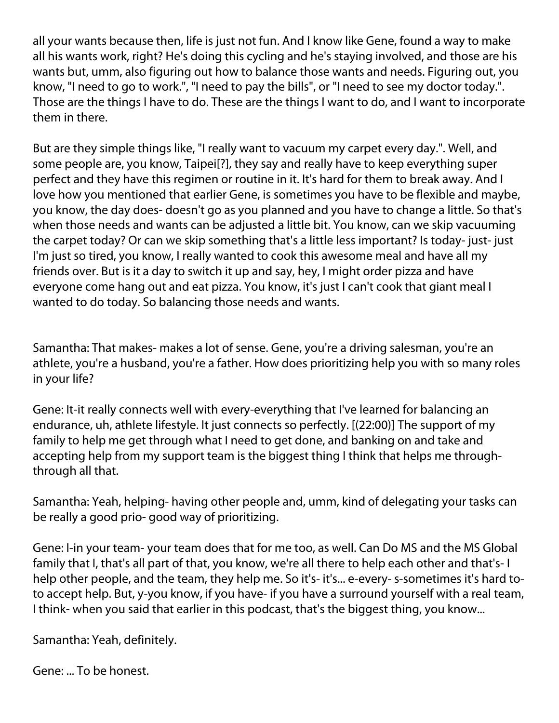all your wants because then, life is just not fun. And I know like Gene, found a way to make all his wants work, right? He's doing this cycling and he's staying involved, and those are his wants but, umm, also figuring out how to balance those wants and needs. Figuring out, you know, "I need to go to work.", "I need to pay the bills", or "I need to see my doctor today.". Those are the things I have to do. These are the things I want to do, and I want to incorporate them in there.

But are they simple things like, "I really want to vacuum my carpet every day.". Well, and some people are, you know, Taipei[?], they say and really have to keep everything super perfect and they have this regimen or routine in it. It's hard for them to break away. And I love how you mentioned that earlier Gene, is sometimes you have to be flexible and maybe, you know, the day does- doesn't go as you planned and you have to change a little. So that's when those needs and wants can be adjusted a little bit. You know, can we skip vacuuming the carpet today? Or can we skip something that's a little less important? Is today- just- just I'm just so tired, you know, I really wanted to cook this awesome meal and have all my friends over. But is it a day to switch it up and say, hey, I might order pizza and have everyone come hang out and eat pizza. You know, it's just I can't cook that giant meal I wanted to do today. So balancing those needs and wants.

Samantha: That makes- makes a lot of sense. Gene, you're a driving salesman, you're an athlete, you're a husband, you're a father. How does prioritizing help you with so many roles in your life?

Gene: It-it really connects well with every-everything that I've learned for balancing an endurance, uh, athlete lifestyle. It just connects so perfectly. [(22:00)] The support of my family to help me get through what I need to get done, and banking on and take and accepting help from my support team is the biggest thing I think that helps me throughthrough all that.

Samantha: Yeah, helping- having other people and, umm, kind of delegating your tasks can be really a good prio- good way of prioritizing.

Gene: I-in your team- your team does that for me too, as well. Can Do MS and the MS Global family that I, that's all part of that, you know, we're all there to help each other and that's- I help other people, and the team, they help me. So it's- it's... e-every- s-sometimes it's hard toto accept help. But, y-you know, if you have- if you have a surround yourself with a real team, I think- when you said that earlier in this podcast, that's the biggest thing, you know...

Samantha: Yeah, definitely.

Gene: ... To be honest.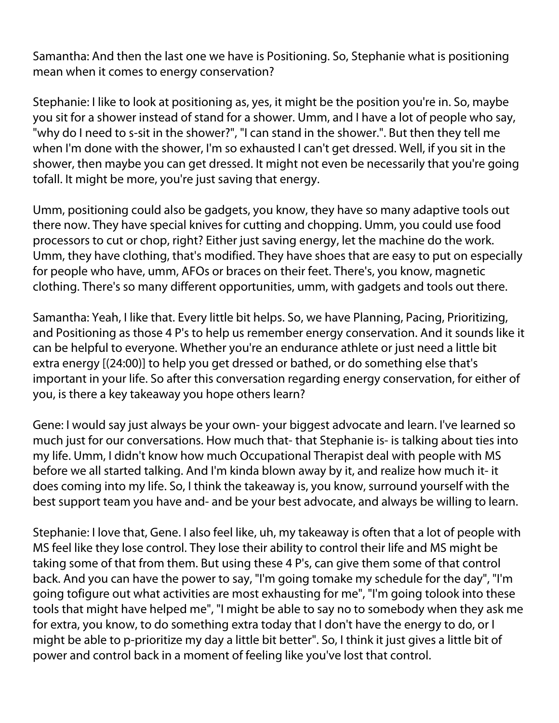Samantha: And then the last one we have is Positioning. So, Stephanie what is positioning mean when it comes to energy conservation?

Stephanie: I like to look at positioning as, yes, it might be the position you're in. So, maybe you sit for a shower instead of stand for a shower. Umm, and I have a lot of people who say, "why do I need to s-sit in the shower?", "I can stand in the shower.". But then they tell me when I'm done with the shower, I'm so exhausted I can't get dressed. Well, if you sit in the shower, then maybe you can get dressed. It might not even be necessarily that you're going tofall. It might be more, you're just saving that energy.

Umm, positioning could also be gadgets, you know, they have so many adaptive tools out there now. They have special knives for cutting and chopping. Umm, you could use food processors to cut or chop, right? Either just saving energy, let the machine do the work. Umm, they have clothing, that's modified. They have shoes that are easy to put on especially for people who have, umm, AFOs or braces on their feet. There's, you know, magnetic clothing. There's so many different opportunities, umm, with gadgets and tools out there.

Samantha: Yeah, I like that. Every little bit helps. So, we have Planning, Pacing, Prioritizing, and Positioning as those 4 P's to help us remember energy conservation. And it sounds like it can be helpful to everyone. Whether you're an endurance athlete or just need a little bit extra energy [(24:00)] to help you get dressed or bathed, or do something else that's important in your life. So after this conversation regarding energy conservation, for either of you, is there a key takeaway you hope others learn?

Gene: I would say just always be your own- your biggest advocate and learn. I've learned so much just for our conversations. How much that- that Stephanie is- is talking about ties into my life. Umm, I didn't know how much Occupational Therapist deal with people with MS before we all started talking. And I'm kinda blown away by it, and realize how much it- it does coming into my life. So, I think the takeaway is, you know, surround yourself with the best support team you have and- and be your best advocate, and always be willing to learn.

Stephanie: I love that, Gene. I also feel like, uh, my takeaway is often that a lot of people with MS feel like they lose control. They lose their ability to control their life and MS might be taking some of that from them. But using these 4 P's, can give them some of that control back. And you can have the power to say, "I'm going tomake my schedule for the day", "I'm going tofigure out what activities are most exhausting for me", "I'm going tolook into these tools that might have helped me", "I might be able to say no to somebody when they ask me for extra, you know, to do something extra today that I don't have the energy to do, or I might be able to p-prioritize my day a little bit better". So, I think it just gives a little bit of power and control back in a moment of feeling like you've lost that control.